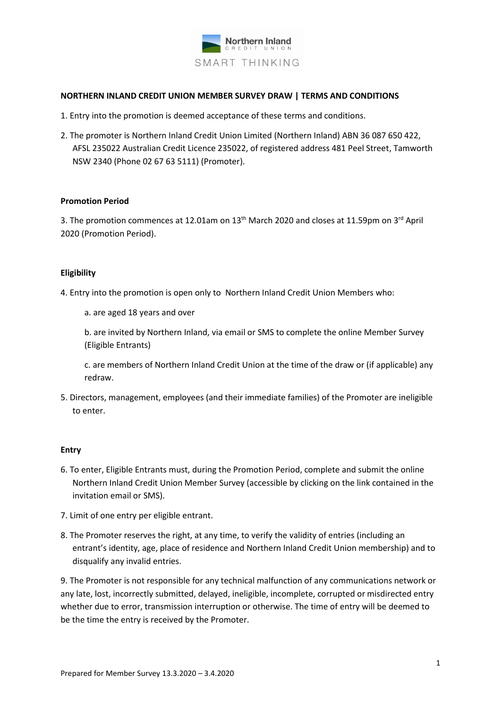

#### **NORTHERN INLAND CREDIT UNION MEMBER SURVEY DRAW | TERMS AND CONDITIONS**

- 1. Entry into the promotion is deemed acceptance of these terms and conditions.
- 2. The promoter is Northern Inland Credit Union Limited (Northern Inland) ABN 36 087 650 422, AFSL 235022 Australian Credit Licence 235022, of registered address 481 Peel Street, Tamworth NSW 2340 (Phone 02 67 63 5111) (Promoter).

#### **Promotion Period**

3. The promotion commences at 12.01am on  $13<sup>th</sup>$  March 2020 and closes at 11.59pm on  $3<sup>rd</sup>$  April 2020 (Promotion Period).

## **Eligibility**

- 4. Entry into the promotion is open only to Northern Inland Credit Union Members who:
	- a. are aged 18 years and over

b. are invited by Northern Inland, via email or SMS to complete the online Member Survey (Eligible Entrants)

c. are members of Northern Inland Credit Union at the time of the draw or (if applicable) any redraw.

5. Directors, management, employees (and their immediate families) of the Promoter are ineligible to enter.

## **Entry**

- 6. To enter, Eligible Entrants must, during the Promotion Period, complete and submit the online Northern Inland Credit Union Member Survey (accessible by clicking on the link contained in the invitation email or SMS).
- 7. Limit of one entry per eligible entrant.
- 8. The Promoter reserves the right, at any time, to verify the validity of entries (including an entrant's identity, age, place of residence and Northern Inland Credit Union membership) and to disqualify any invalid entries.

9. The Promoter is not responsible for any technical malfunction of any communications network or any late, lost, incorrectly submitted, delayed, ineligible, incomplete, corrupted or misdirected entry whether due to error, transmission interruption or otherwise. The time of entry will be deemed to be the time the entry is received by the Promoter.